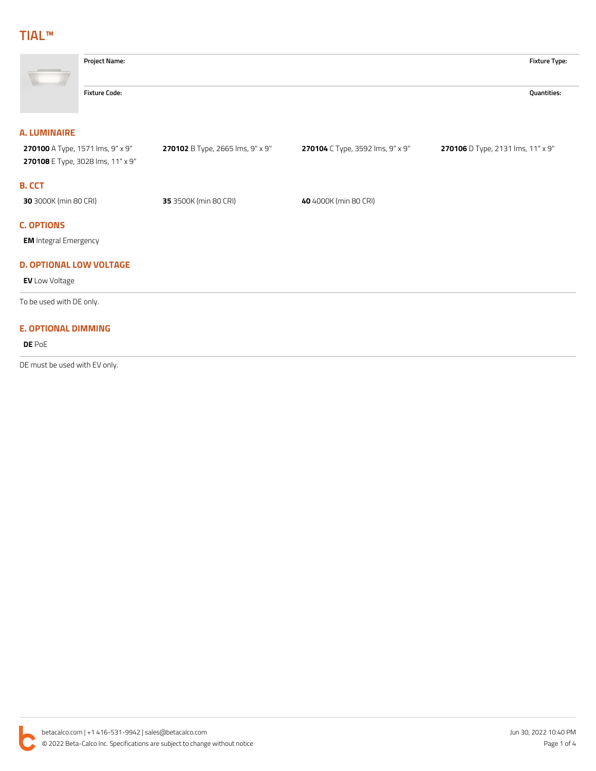## **TIAL™**

| <b>Project Name:</b>                                                  |                                  |                                  | <b>Fixture Type:</b>              |
|-----------------------------------------------------------------------|----------------------------------|----------------------------------|-----------------------------------|
| <b>Fixture Code:</b>                                                  |                                  |                                  | Quantities:                       |
| <b>A. LUMINAIRE</b>                                                   |                                  |                                  |                                   |
| 270100 A Type, 1571 Ims, 9" x 9"<br>270108 E Type, 3028 lms, 11" x 9" | 270102 B Type, 2665 lms, 9" x 9" | 270104 C Type, 3592 lms, 9" x 9" | 270106 D Type, 2131 Ims, 11" x 9" |
| <b>B. CCT</b>                                                         |                                  |                                  |                                   |
| 30 3000K (min 80 CRI)                                                 | 35 3500K (min 80 CRI)            | 40 4000K (min 80 CRI)            |                                   |
| <b>C. OPTIONS</b>                                                     |                                  |                                  |                                   |
| <b>EM</b> Integral Emergency                                          |                                  |                                  |                                   |
| <b>D. OPTIONAL LOW VOLTAGE</b>                                        |                                  |                                  |                                   |
| <b>EV</b> Low Voltage                                                 |                                  |                                  |                                   |
| To be used with DE only.                                              |                                  |                                  |                                   |
| <b>E. OPTIONAL DIMMING</b>                                            |                                  |                                  |                                   |
| DE PoE                                                                |                                  |                                  |                                   |
| DE must be used with EV only.                                         |                                  |                                  |                                   |

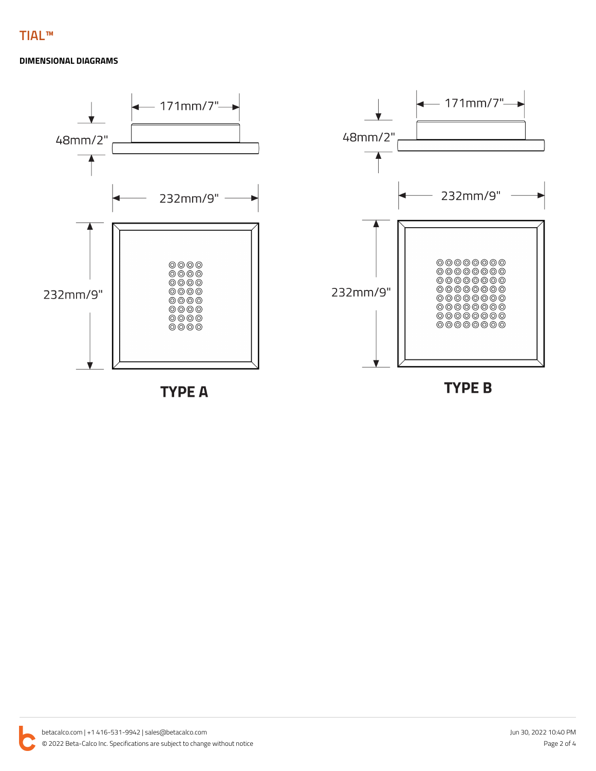## **DIMENSIONAL DIAGRAMS**

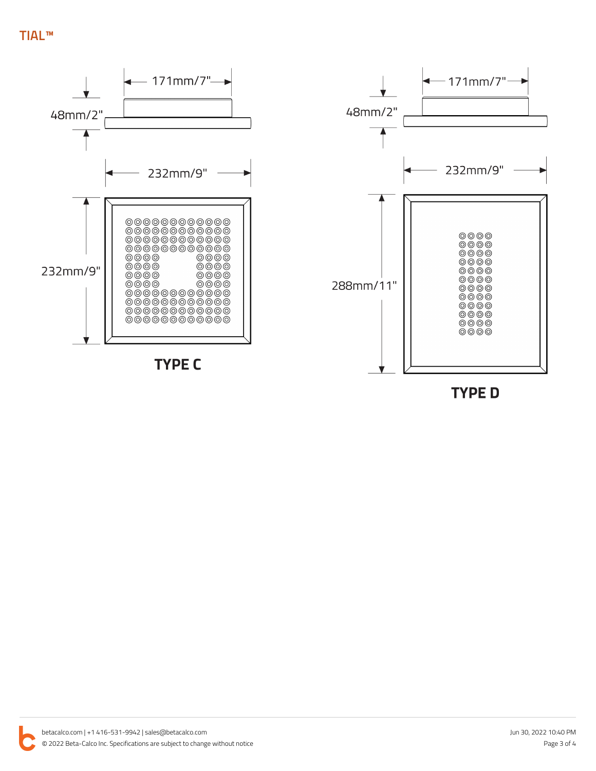

**TYPE D**